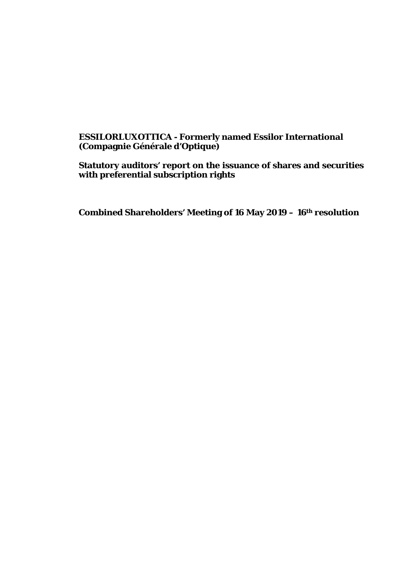## **ESSILORLUXOTTICA - Formerly named Essilor International (Compagnie Générale d'Optique)**

**Statutory auditors' report on the issuance of shares and securities with preferential subscription rights**

**Combined Shareholders' Meeting of 16 May 2019 – 16th resolution**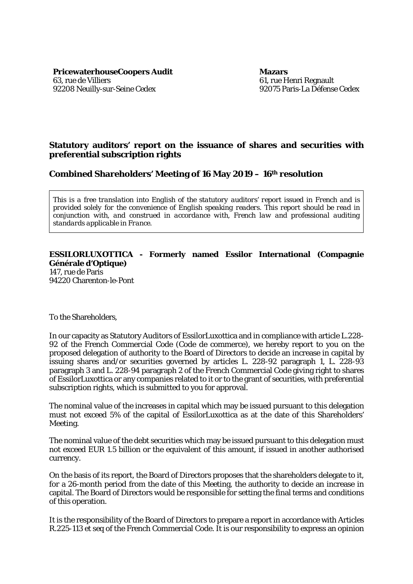**PricewaterhouseCoopers Audit Mazars** 63, rue de Villiers 92208 Neuilly-sur-Seine Cedex

61, rue Henri Regnault 92075 Paris-La Défense Cedex

## **Statutory auditors' report on the issuance of shares and securities with preferential subscription rights**

**Combined Shareholders' Meeting of 16 May 2019 – 16th resolution**

*This is a free translation into English of the statutory auditors' report issued in French and is provided solely for the convenience of English speaking readers. This report should be read in conjunction with, and construed in accordance with, French law and professional auditing standards applicable in France.*

## **ESSILORLUXOTTICA - Formerly named Essilor International (Compagnie Générale d'Optique)**

147, rue de Paris 94220 Charenton-le-Pont

To the Shareholders,

In our capacity as Statutory Auditors of EssilorLuxottica and in compliance with article L.228- 92 of the French Commercial Code (Code de commerce), we hereby report to you on the proposed delegation of authority to the Board of Directors to decide an increase in capital by issuing shares and/or securities governed by articles L. 228-92 paragraph 1, L. 228-93 paragraph 3 and L. 228-94 paragraph 2 of the French Commercial Code giving right to shares of EssilorLuxottica or any companies related to it or to the grant of securities, with preferential subscription rights, which is submitted to you for approval.

The nominal value of the increases in capital which may be issued pursuant to this delegation must not exceed 5% of the capital of EssilorLuxottica as at the date of this Shareholders' Meeting.

The nominal value of the debt securities which may be issued pursuant to this delegation must not exceed EUR 1.5 billion or the equivalent of this amount, if issued in another authorised currency.

On the basis of its report, the Board of Directors proposes that the shareholders delegate to it, for a 26-month period from the date of this Meeting, the authority to decide an increase in capital. The Board of Directors would be responsible for setting the final terms and conditions of this operation.

It is the responsibility of the Board of Directors to prepare a report in accordance with Articles R.225-113 *et seq* of the French Commercial Code. It is our responsibility to express an opinion